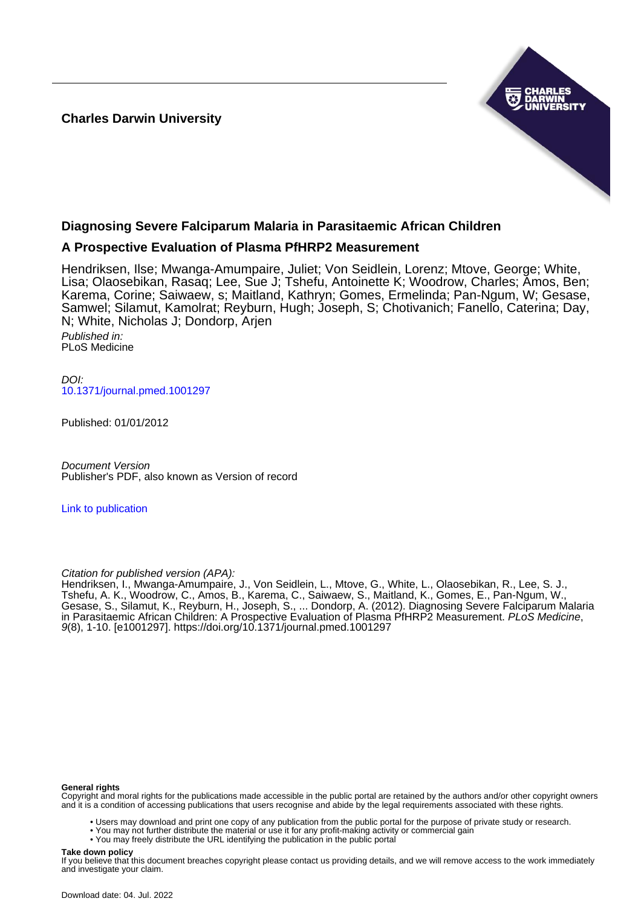**Charles Darwin University**



# **Diagnosing Severe Falciparum Malaria in Parasitaemic African Children**

# **A Prospective Evaluation of Plasma PfHRP2 Measurement**

Hendriksen, Ilse; Mwanga-Amumpaire, Juliet; Von Seidlein, Lorenz; Mtove, George; White, Lisa; Olaosebikan, Rasaq; Lee, Sue J; Tshefu, Antoinette K; Woodrow, Charles; Amos, Ben; Karema, Corine; Saiwaew, s; Maitland, Kathryn; Gomes, Ermelinda; Pan-Ngum, W; Gesase, Samwel; Silamut, Kamolrat; Reyburn, Hugh; Joseph, S; Chotivanich; Fanello, Caterina; Day, N; White, Nicholas J; Dondorp, Arjen

Published in: PLoS Medicine

DOI: [10.1371/journal.pmed.1001297](https://doi.org/10.1371/journal.pmed.1001297)

Published: 01/01/2012

Document Version Publisher's PDF, also known as Version of record

[Link to publication](https://researchers.cdu.edu.au/en/publications/a6315e3f-0f07-46f1-a737-0e431947a290)

Citation for published version (APA):

Hendriksen, I., Mwanga-Amumpaire, J., Von Seidlein, L., Mtove, G., White, L., Olaosebikan, R., Lee, S. J., Tshefu, A. K., Woodrow, C., Amos, B., Karema, C., Saiwaew, S., Maitland, K., Gomes, E., Pan-Ngum, W., Gesase, S., Silamut, K., Reyburn, H., Joseph, S., ... Dondorp, A. (2012). Diagnosing Severe Falciparum Malaria in Parasitaemic African Children: A Prospective Evaluation of Plasma PfHRP2 Measurement. PLoS Medicine, 9(8), 1-10. [e1001297]. <https://doi.org/10.1371/journal.pmed.1001297>

#### **General rights**

Copyright and moral rights for the publications made accessible in the public portal are retained by the authors and/or other copyright owners and it is a condition of accessing publications that users recognise and abide by the legal requirements associated with these rights.

• Users may download and print one copy of any publication from the public portal for the purpose of private study or research.

- You may not further distribute the material or use it for any profit-making activity or commercial gain
	- You may freely distribute the URL identifying the publication in the public portal

#### **Take down policy**

If you believe that this document breaches copyright please contact us providing details, and we will remove access to the work immediately and investigate your claim.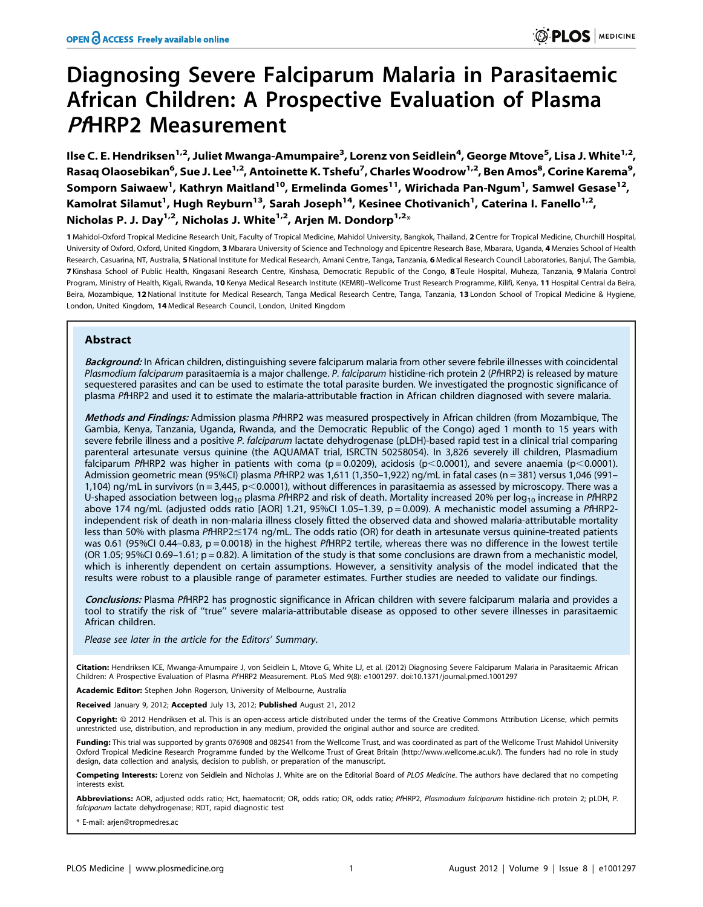# Diagnosing Severe Falciparum Malaria in Parasitaemic African Children: A Prospective Evaluation of Plasma PAHRP2 Measurement

llse C. E. Hendriksen<sup>1,2</sup>, Juliet Mwanga-Amumpaire<sup>3</sup>, Lorenz von Seidlein<sup>4</sup>, George Mtove<sup>5</sup>, Lisa J. White<sup>1,2</sup>, Rasaq Olaosebikan<sup>6</sup>, Sue J. Lee<sup>1,2</sup>, Antoinette K. Tshefu<sup>7</sup>, Charles Woodrow<sup>1,2</sup>, Ben Amos<sup>8</sup>, Corine Karema<sup>9</sup>, Somporn Saiwaew<sup>1</sup>, Kathryn Maitland<sup>10</sup>, Ermelinda Gomes<sup>11</sup>, Wirichada Pan-Ngum<sup>1</sup>, Samwel Gesase<sup>12</sup>, Kamolrat Silamut<sup>1</sup>, Hugh Reyburn<sup>13</sup>, Sarah Joseph<sup>14</sup>, Kesinee Chotivanich<sup>1</sup>, Caterina I. Fanello<sup>1,2</sup>, Nicholas P. J. Dav<sup>1,2</sup>, Nicholas J. White<sup>1,2</sup>, Arien M. Dondorp<sup>1,2\*</sup>

1 Mahidol-Oxford Tropical Medicine Research Unit, Faculty of Tropical Medicine, Mahidol University, Bangkok, Thailand, 2 Centre for Tropical Medicine, Churchill Hospital, University of Oxford, Oxford, United Kingdom, 3 Mbarara University of Science and Technology and Epicentre Research Base, Mbarara, Uganda, 4 Menzies School of Health Research, Casuarina, NT, Australia, 5 National Institute for Medical Research, Amani Centre, Tanga, Tanzania, 6 Medical Research Council Laboratories, Banjul, The Gambia, 7 Kinshasa School of Public Health, Kingasani Research Centre, Kinshasa, Democratic Republic of the Congo, 8 Teule Hospital, Muheza, Tanzania, 9 Malaria Control Program, Ministry of Health, Kigali, Rwanda, 10 Kenya Medical Research Institute (KEMRI)-Wellcome Trust Research Programme, Kilifi, Kenya, 11 Hospital Central da Beira, Beira, Mozambique, 12 National Institute for Medical Research, Tanga Medical Research Centre, Tanga, Tanzania, 13 London School of Tropical Medicine & Hygiene, London, United Kingdom, 14 Medical Research Council, London, United Kingdom

# Abstract

Background: In African children, distinguishing severe falciparum malaria from other severe febrile illnesses with coincidental Plasmodium falciparum parasitaemia is a major challenge. P. falciparum histidine-rich protein 2 (PfHRP2) is released by mature sequestered parasites and can be used to estimate the total parasite burden. We investigated the prognostic significance of plasma PfHRP2 and used it to estimate the malaria-attributable fraction in African children diagnosed with severe malaria.

Methods and Findings: Admission plasma PfHRP2 was measured prospectively in African children (from Mozambique, The Gambia, Kenya, Tanzania, Uganda, Rwanda, and the Democratic Republic of the Congo) aged 1 month to 15 years with severe febrile illness and a positive P. falciparum lactate dehydrogenase (pLDH)-based rapid test in a clinical trial comparing parenteral artesunate versus quinine (the AQUAMAT trial, ISRCTN 50258054). In 3,826 severely ill children, Plasmadium falciparum PfHRP2 was higher in patients with coma ( $p = 0.0209$ ), acidosis ( $p < 0.0001$ ), and severe anaemia ( $p < 0.0001$ ). Admission geometric mean (95%CI) plasma PfHRP2 was 1,611 (1,350–1,922) ng/mL in fatal cases (n = 381) versus 1,046 (991– 1,104) ng/mL in survivors ( $n = 3,445$ ,  $p < 0.0001$ ), without differences in parasitaemia as assessed by microscopy. There was a U-shaped association between  $log_{10}$  plasma PfHRP2 and risk of death. Mortality increased 20% per  $log_{10}$  increase in PfHRP2 above 174 ng/mL (adjusted odds ratio [AOR] 1.21, 95%CI 1.05-1.39, p = 0.009). A mechanistic model assuming a PfHRP2independent risk of death in non-malaria illness closely fitted the observed data and showed malaria-attributable mortality less than 50% with plasma PfHRP2 $\leq$ 174 ng/mL. The odds ratio (OR) for death in artesunate versus quinine-treated patients was 0.61 (95%CI 0.44–0.83,  $p = 0.0018$ ) in the highest PfHRP2 tertile, whereas there was no difference in the lowest tertile (OR 1.05; 95%CI 0.69-1.61;  $p = 0.82$ ). A limitation of the study is that some conclusions are drawn from a mechanistic model, which is inherently dependent on certain assumptions. However, a sensitivity analysis of the model indicated that the results were robust to a plausible range of parameter estimates. Further studies are needed to validate our findings.

Conclusions: Plasma PfHRP2 has prognostic significance in African children with severe falciparum malaria and provides a tool to stratify the risk of ''true'' severe malaria-attributable disease as opposed to other severe illnesses in parasitaemic African children.

Please see later in the article for the Editors' Summary.

Citation: Hendriksen ICE, Mwanga-Amumpaire J, von Seidlein L, Mtove G, White LJ, et al. (2012) Diagnosing Severe Falciparum Malaria in Parasitaemic African Children: A Prospective Evaluation of Plasma PfHRP2 Measurement. PLoS Med 9(8): e1001297. doi:10.1371/journal.pmed.1001297

Academic Editor: Stephen John Rogerson, University of Melbourne, Australia

Received January 9, 2012; Accepted July 13, 2012; Published August 21, 2012

Copyright: © 2012 Hendriksen et al. This is an open-access article distributed under the terms of the Creative Commons Attribution License, which permits unrestricted use, distribution, and reproduction in any medium, provided the original author and source are credited.

Funding: This trial was supported by grants 076908 and 082541 from the Wellcome Trust, and was coordinated as part of the Wellcome Trust Mahidol University Oxford Tropical Medicine Research Programme funded by the Wellcome Trust of Great Britain (http://www.wellcome.ac.uk/). The funders had no role in study design, data collection and analysis, decision to publish, or preparation of the manuscript.

Competing Interests: Lorenz von Seidlein and Nicholas J. White are on the Editorial Board of PLOS Medicine. The authors have declared that no competing interests exist.

Abbreviations: AOR, adjusted odds ratio; Hct, haematocrit; OR, odds ratio; OR, odds ratio; PfHRP2, Plasmodium falciparum histidine-rich protein 2; pLDH, P. falciparum lactate dehydrogenase; RDT, rapid diagnostic test

\* E-mail: arjen@tropmedres.ac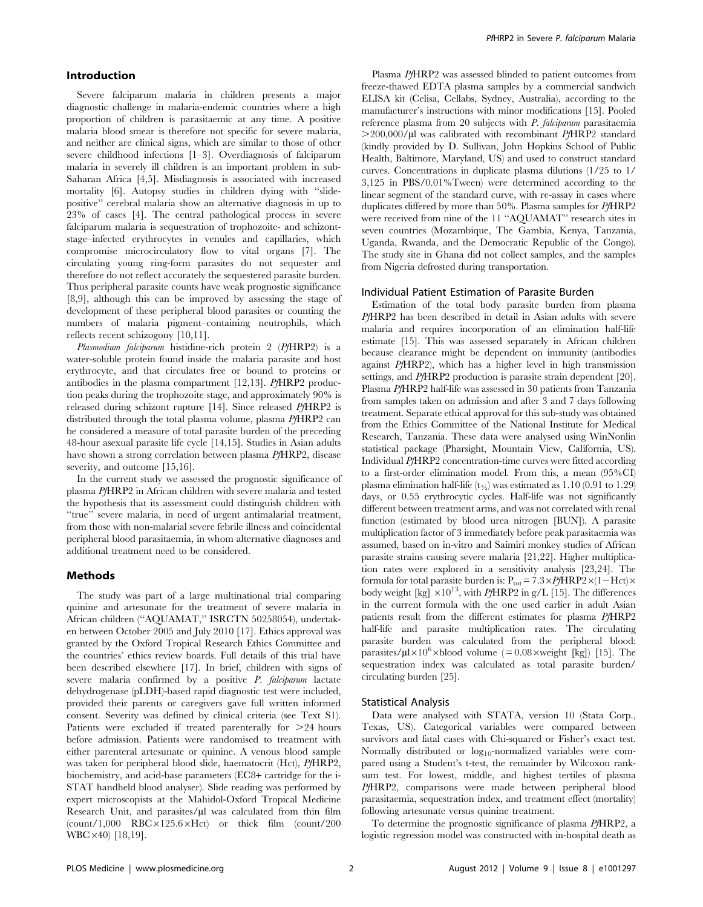#### Introduction

Severe falciparum malaria in children presents a major diagnostic challenge in malaria-endemic countries where a high proportion of children is parasitaemic at any time. A positive malaria blood smear is therefore not specific for severe malaria, and neither are clinical signs, which are similar to those of other severe childhood infections [1–3]. Overdiagnosis of falciparum malaria in severely ill children is an important problem in sub-Saharan Africa [4,5]. Misdiagnosis is associated with increased mortality [6]. Autopsy studies in children dying with ''slidepositive'' cerebral malaria show an alternative diagnosis in up to 23% of cases [4]. The central pathological process in severe falciparum malaria is sequestration of trophozoite- and schizontstage–infected erythrocytes in venules and capillaries, which compromise microcirculatory flow to vital organs [7]. The circulating young ring-form parasites do not sequester and therefore do not reflect accurately the sequestered parasite burden. Thus peripheral parasite counts have weak prognostic significance [8,9], although this can be improved by assessing the stage of development of these peripheral blood parasites or counting the numbers of malaria pigment–containing neutrophils, which reflects recent schizogony [10,11].

Plasmodium falciparum histidine-rich protein 2 (PfHRP2) is a water-soluble protein found inside the malaria parasite and host erythrocyte, and that circulates free or bound to proteins or antibodies in the plasma compartment [12,13]. PfHRP2 production peaks during the trophozoite stage, and approximately 90% is released during schizont rupture [14]. Since released PfHRP2 is distributed through the total plasma volume, plasma PfHRP2 can be considered a measure of total parasite burden of the preceding 48-hour asexual parasite life cycle [14,15]. Studies in Asian adults have shown a strong correlation between plasma PfHRP2, disease severity, and outcome [15,16].

In the current study we assessed the prognostic significance of plasma PfHRP2 in African children with severe malaria and tested the hypothesis that its assessment could distinguish children with ''true'' severe malaria, in need of urgent antimalarial treatment, from those with non-malarial severe febrile illness and coincidental peripheral blood parasitaemia, in whom alternative diagnoses and additional treatment need to be considered.

#### Methods

The study was part of a large multinational trial comparing quinine and artesunate for the treatment of severe malaria in African children (''AQUAMAT,'' ISRCTN 50258054), undertaken between October 2005 and July 2010 [17]. Ethics approval was granted by the Oxford Tropical Research Ethics Committee and the countries' ethics review boards. Full details of this trial have been described elsewhere [17]. In brief, children with signs of severe malaria confirmed by a positive P. falciparum lactate dehydrogenase (pLDH)-based rapid diagnostic test were included, provided their parents or caregivers gave full written informed consent. Severity was defined by clinical criteria (see Text S1). Patients were excluded if treated parenterally for  $>24$  hours before admission. Patients were randomised to treatment with either parenteral artesunate or quinine. A venous blood sample was taken for peripheral blood slide, haematocrit (Hct), PfHRP2, biochemistry, and acid-base parameters (EC8+ cartridge for the i-STAT handheld blood analyser). Slide reading was performed by expert microscopists at the Mahidol-Oxford Tropical Medicine Research Unit, and parasites/ $\mu$ l was calculated from thin film  $\frac{\text{count}}{1,000}$  RBC $\times$ 125.6 $\times$ Hct) or thick film  $\text{(count/200)}$  $WBC \times 40$  [18,19].

Plasma PfHRP2 was assessed blinded to patient outcomes from freeze-thawed EDTA plasma samples by a commercial sandwich ELISA kit (Celisa, Cellabs, Sydney, Australia), according to the manufacturer's instructions with minor modifications [15]. Pooled reference plasma from 20 subjects with P. falciparum parasitaemia  $>$ 200,000/ $\mu$ l was calibrated with recombinant PfHRP2 standard (kindly provided by D. Sullivan, John Hopkins School of Public Health, Baltimore, Maryland, US) and used to construct standard curves. Concentrations in duplicate plasma dilutions (1/25 to 1/ 3,125 in PBS/0.01%Tween) were determined according to the linear segment of the standard curve, with re-assay in cases where duplicates differed by more than 50%. Plasma samples for PfHRP2 were received from nine of the 11 ''AQUAMAT'' research sites in seven countries (Mozambique, The Gambia, Kenya, Tanzania, Uganda, Rwanda, and the Democratic Republic of the Congo). The study site in Ghana did not collect samples, and the samples from Nigeria defrosted during transportation.

#### Individual Patient Estimation of Parasite Burden

Estimation of the total body parasite burden from plasma PfHRP2 has been described in detail in Asian adults with severe malaria and requires incorporation of an elimination half-life estimate [15]. This was assessed separately in African children because clearance might be dependent on immunity (antibodies against PfHRP2), which has a higher level in high transmission settings, and PfHRP2 production is parasite strain dependent [20]. Plasma PfHRP2 half-life was assessed in 30 patients from Tanzania from samples taken on admission and after 3 and 7 days following treatment. Separate ethical approval for this sub-study was obtained from the Ethics Committee of the National Institute for Medical Research, Tanzania. These data were analysed using WinNonlin statistical package (Pharsight, Mountain View, California, US). Individual PfHRP2 concentration-time curves were fitted according to a first-order elimination model. From this, a mean (95%CI) plasma elimination half-life  $(t_{\frac{1}{2}})$  was estimated as 1.10 (0.91 to 1.29) days, or 0.55 erythrocytic cycles. Half-life was not significantly different between treatment arms, and was not correlated with renal function (estimated by blood urea nitrogen [BUN]). A parasite multiplication factor of 3 immediately before peak parasitaemia was assumed, based on in-vitro and Saimiri monkey studies of African parasite strains causing severe malaria [21,22]. Higher multiplication rates were explored in a sensitivity analysis [23,24]. The formula for total parasite burden is:  $P_{\text{tot}} = 7.3 \times PfHRP2 \times (1 - Hct) \times$ body weight [kg]  $\times10^{13}$ , with PfHRP2 in g/L [15]. The differences in the current formula with the one used earlier in adult Asian patients result from the different estimates for plasma PfHRP2 half-life and parasite multiplication rates. The circulating parasite burden was calculated from the peripheral blood: parasites/ $\mu$ l $\times$ 10<sup>6</sup> $\times$ blood volume (= 0.08 $\times$ weight [kg]) [15]. The sequestration index was calculated as total parasite burden/ circulating burden [25].

#### Statistical Analysis

Data were analysed with STATA, version 10 (Stata Corp., Texas, US). Categorical variables were compared between survivors and fatal cases with Chi-squared or Fisher's exact test. Normally distributed or log<sub>10</sub>-normalized variables were compared using a Student's t-test, the remainder by Wilcoxon ranksum test. For lowest, middle, and highest tertiles of plasma PfHRP2, comparisons were made between peripheral blood parasitaemia, sequestration index, and treatment effect (mortality) following artesunate versus quinine treatment.

To determine the prognostic significance of plasma PfHRP2, a logistic regression model was constructed with in-hospital death as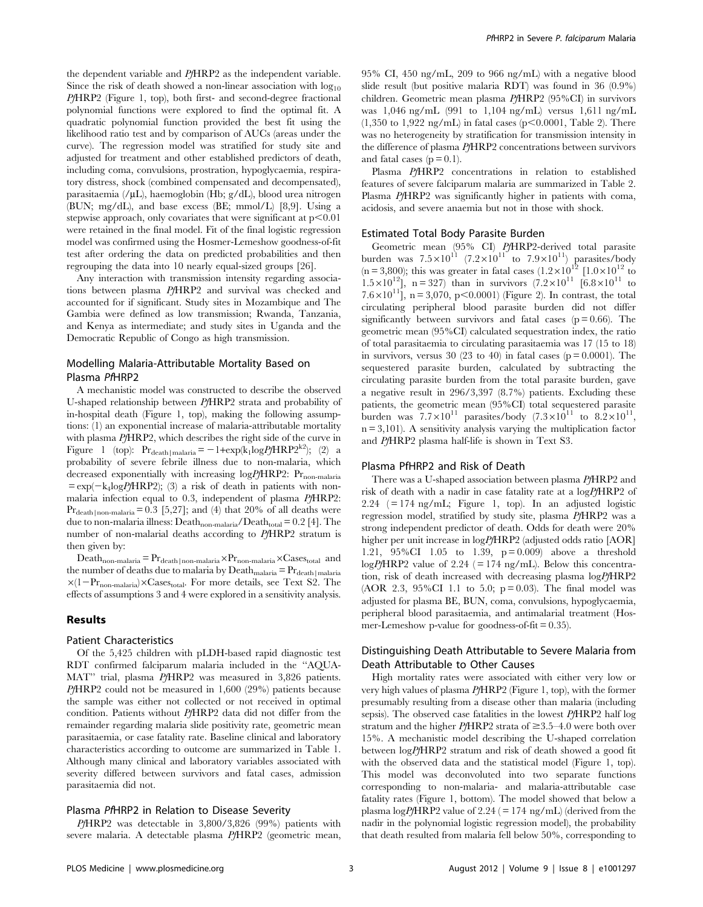the dependent variable and PfHRP2 as the independent variable. Since the risk of death showed a non-linear association with  $log_{10}$ PfHRP2 (Figure 1, top), both first- and second-degree fractional polynomial functions were explored to find the optimal fit. A quadratic polynomial function provided the best fit using the likelihood ratio test and by comparison of AUCs (areas under the curve). The regression model was stratified for study site and adjusted for treatment and other established predictors of death, including coma, convulsions, prostration, hypoglycaemia, respiratory distress, shock (combined compensated and decompensated), parasitaemia  $//<sub>u</sub>L$ ), haemoglobin (Hb; g/dL), blood urea nitrogen (BUN; mg/dL), and base excess (BE; mmol/L) [8,9]. Using a stepwise approach, only covariates that were significant at  $p<0.01$ were retained in the final model. Fit of the final logistic regression model was confirmed using the Hosmer-Lemeshow goodness-of-fit test after ordering the data on predicted probabilities and then regrouping the data into 10 nearly equal-sized groups [26].

Any interaction with transmission intensity regarding associations between plasma PfHRP2 and survival was checked and accounted for if significant. Study sites in Mozambique and The Gambia were defined as low transmission; Rwanda, Tanzania, and Kenya as intermediate; and study sites in Uganda and the Democratic Republic of Congo as high transmission.

## Modelling Malaria-Attributable Mortality Based on Plasma PfHRP2

A mechanistic model was constructed to describe the observed U-shaped relationship between PfHRP2 strata and probability of in-hospital death (Figure 1, top), making the following assumptions: (1) an exponential increase of malaria-attributable mortality with plasma PfHRP2, which describes the right side of the curve in Figure 1 (top):  $Pr_{death\text{Imalaria}} = -1+\exp(k_1\log P/\text{HRP2}^{k2})$ ; (2) a probability of severe febrile illness due to non-malaria, which decreased exponentially with increasing  $log P / HRP$ ?:  $Pr_{non-malaria}$  $= \exp(-k_4 \log P / HRP2)$ ; (3) a risk of death in patients with nonmalaria infection equal to 0.3, independent of plasma PfHRP2:  $Pr_{death|non-malaria}= 0.3$  [5,27]; and (4) that 20% of all deaths were due to non-malaria illness:  $\mathrm{Death}_{\mathrm{non-malaria}}/\mathrm{Death}_{\mathrm{total}} = 0.2$  [4]. The number of non-malarial deaths according to PHRP2 stratum is then given by:

 $\text{Death}_{\text{non-malaria}} = \Pr_{\text{death}|\text{non-malaria}} \times \Pr_{\text{non-malaria}} \times \text{Cases}_{\text{total}}$  and the number of deaths due to malaria by  $\text{Death}_{\text{malaria}} = \Pr_{\text{death}|\text{malaria}}$  $\times(1-\text{Pr}_{\text{non-malaria}})\times\text{Cases}_{\text{total}}$ . For more details, see Text S2. The effects of assumptions 3 and 4 were explored in a sensitivity analysis.

#### Results

#### Patient Characteristics

Of the 5,425 children with pLDH-based rapid diagnostic test RDT confirmed falciparum malaria included in the ''AQUA-MAT'' trial, plasma PfHRP2 was measured in 3,826 patients. PfHRP2 could not be measured in 1,600 (29%) patients because the sample was either not collected or not received in optimal condition. Patients without PfHRP2 data did not differ from the remainder regarding malaria slide positivity rate, geometric mean parasitaemia, or case fatality rate. Baseline clinical and laboratory characteristics according to outcome are summarized in Table 1. Although many clinical and laboratory variables associated with severity differed between survivors and fatal cases, admission parasitaemia did not.

#### Plasma PfHRP2 in Relation to Disease Severity

PfHRP2 was detectable in 3,800/3,826 (99%) patients with severe malaria. A detectable plasma PfHRP2 (geometric mean,

95% CI, 450 ng/mL, 209 to 966 ng/mL) with a negative blood slide result (but positive malaria RDT) was found in 36 (0.9%) children. Geometric mean plasma PfHRP2 (95%CI) in survivors was 1,046 ng/mL (991 to 1,104 ng/mL) versus 1,611 ng/mL  $(1,350 \text{ to } 1,922 \text{ ng/mL})$  in fatal cases (p<0.0001, Table 2). There was no heterogeneity by stratification for transmission intensity in the difference of plasma PfHRP2 concentrations between survivors and fatal cases  $(p = 0.1)$ .

Plasma PfHRP2 concentrations in relation to established features of severe falciparum malaria are summarized in Table 2. Plasma PfHRP2 was significantly higher in patients with coma, acidosis, and severe anaemia but not in those with shock.

#### Estimated Total Body Parasite Burden

Geometric mean (95% CI) PfHRP2-derived total parasite burden was  $7.5 \times 10^{11}$  (7.2×10<sup>11</sup> to 7.9×10<sup>11</sup>) parasites/body (n = 3,800); this was greater in fatal cases  $(1.2 \times 10^{12} \text{ [}1.0 \times 10^{12} \text{ to}$  $1.5 \times 10^{12}$ ], n = 327) than in survivors  $(7.2 \times 10^{11}$  [6.8 $\times 10^{11}$  to 7.6×10<sup>11</sup>], n = 3,070, p<0.0001) (Figure 2). In contrast, the total circulating peripheral blood parasite burden did not differ significantly between survivors and fatal cases ( $p = 0.66$ ). The geometric mean (95%CI) calculated sequestration index, the ratio of total parasitaemia to circulating parasitaemia was 17 (15 to 18) in survivors, versus 30 (23 to 40) in fatal cases ( $p = 0.0001$ ). The sequestered parasite burden, calculated by subtracting the circulating parasite burden from the total parasite burden, gave a negative result in 296/3,397 (8.7%) patients. Excluding these patients, the geometric mean (95%CI) total sequestered parasite burden was  $7.7 \times 10^{11}$  parasites/body  $(7.3 \times 10^{11}$  to  $8.2 \times 10^{11}$ ,  $n = 3,101$ ). A sensitivity analysis varying the multiplication factor and PfHRP2 plasma half-life is shown in Text S3.

#### Plasma PfHRP2 and Risk of Death

There was a U-shaped association between plasma PfHRP2 and risk of death with a nadir in case fatality rate at a logPfHRP2 of 2.24  $(= 174 \text{ ng/mL};$  Figure 1, top). In an adjusted logistic regression model, stratified by study site, plasma PfHRP2 was a strong independent predictor of death. Odds for death were 20% higher per unit increase in logPfHRP2 (adjusted odds ratio [AOR] 1.21, 95%CI 1.05 to 1.39,  $p = 0.009$  above a threshold  $logPfHRP2$  value of 2.24 (= 174 ng/mL). Below this concentration, risk of death increased with decreasing plasma logPfHRP2 (AOR 2.3, 95%CI 1.1 to 5.0;  $p = 0.03$ ). The final model was adjusted for plasma BE, BUN, coma, convulsions, hypoglycaemia, peripheral blood parasitaemia, and antimalarial treatment (Hosmer-Lemeshow p-value for goodness-of-fit = 0.35).

# Distinguishing Death Attributable to Severe Malaria from Death Attributable to Other Causes

High mortality rates were associated with either very low or very high values of plasma PfHRP2 (Figure 1, top), with the former presumably resulting from a disease other than malaria (including sepsis). The observed case fatalities in the lowest PfHRP2 half log stratum and the higher  $PfHRP2$  strata of  $\geq 3.5-4.0$  were both over 15%. A mechanistic model describing the U-shaped correlation between logPfHRP2 stratum and risk of death showed a good fit with the observed data and the statistical model (Figure 1, top). This model was deconvoluted into two separate functions corresponding to non-malaria- and malaria-attributable case fatality rates (Figure 1, bottom). The model showed that below a plasma  $\log P / HRP2$  value of 2.24 (= 174 ng/mL) (derived from the nadir in the polynomial logistic regression model), the probability that death resulted from malaria fell below 50%, corresponding to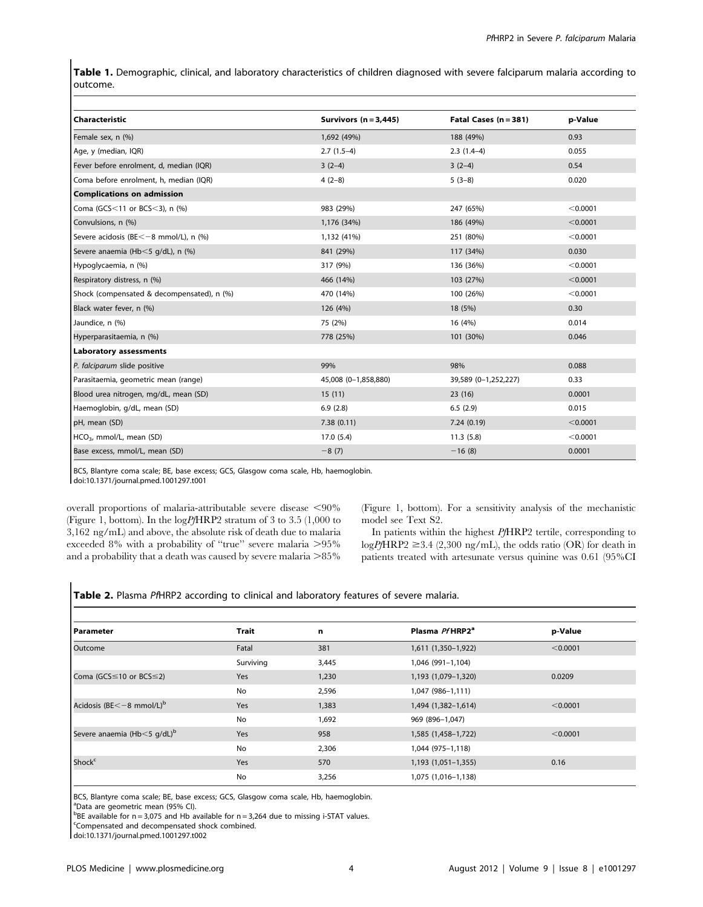Table 1. Demographic, clinical, and laboratory characteristics of children diagnosed with severe falciparum malaria according to outcome.

| Characteristic                             | Survivors $(n = 3,445)$ | Fatal Cases $(n = 381)$ | p-Value  |
|--------------------------------------------|-------------------------|-------------------------|----------|
| Female sex, n (%)                          | 1,692 (49%)             | 188 (49%)               | 0.93     |
| Age, y (median, IQR)                       | $2.7(1.5-4)$            | $2.3(1.4-4)$            | 0.055    |
| Fever before enrolment, d, median (IQR)    | $3(2-4)$                | $3(2-4)$                | 0.54     |
| Coma before enrolment, h, median (IQR)     | $4(2-8)$                | $5(3-8)$                | 0.020    |
| <b>Complications on admission</b>          |                         |                         |          |
| Coma (GCS<11 or BCS<3), n $(%)$            | 983 (29%)               | 247 (65%)               | < 0.0001 |
| Convulsions, n (%)                         | 1,176 (34%)             | 186 (49%)               | < 0.0001 |
| Severe acidosis (BE<-8 mmol/L), n (%)      | 1,132 (41%)             | 251 (80%)               | < 0.0001 |
| Severe anaemia (Hb < 5 g/dL), n (%)        | 841 (29%)               | 117 (34%)               | 0.030    |
| Hypoglycaemia, n (%)                       | 317 (9%)                | 136 (36%)               | < 0.0001 |
| Respiratory distress, n (%)                | 466 (14%)               | 103 (27%)               | < 0.0001 |
| Shock (compensated & decompensated), n (%) | 470 (14%)               | 100 (26%)               | < 0.0001 |
| Black water fever, n (%)                   | 126 (4%)                | 18 (5%)                 | 0.30     |
| Jaundice, n (%)                            | 75 (2%)                 | 16 (4%)                 | 0.014    |
| Hyperparasitaemia, n (%)                   | 778 (25%)               | 101 (30%)               | 0.046    |
| <b>Laboratory assessments</b>              |                         |                         |          |
| P. falciparum slide positive               | 99%                     | 98%                     | 0.088    |
| Parasitaemia, geometric mean (range)       | 45,008 (0-1,858,880)    | 39,589 (0-1,252,227)    | 0.33     |
| Blood urea nitrogen, mg/dL, mean (SD)      | 15(11)                  | 23(16)                  | 0.0001   |
| Haemoglobin, g/dL, mean (SD)               | 6.9(2.8)                | 6.5(2.9)                | 0.015    |
| pH, mean (SD)                              | 7.38(0.11)              | 7.24(0.19)              | < 0.0001 |
| HCO <sub>3</sub> , mmol/L, mean (SD)       | 17.0(5.4)               | 11.3(5.8)               | < 0.0001 |
| Base excess, mmol/L, mean (SD)             | $-8(7)$                 | $-16(8)$                | 0.0001   |

BCS, Blantyre coma scale; BE, base excess; GCS, Glasgow coma scale, Hb, haemoglobin.

doi:10.1371/journal.pmed.1001297.t001

overall proportions of malaria-attributable severe disease  $\langle 90\%$ (Figure 1, bottom). In the logPfHRP2 stratum of 3 to 3.5 (1,000 to 3,162 ng/mL) and above, the absolute risk of death due to malaria exceeded 8% with a probability of "true" severe malaria  $>95\%$ and a probability that a death was caused by severe malaria  $>85\%$  (Figure 1, bottom). For a sensitivity analysis of the mechanistic model see Text S2.

In patients within the highest PfHRP2 tertile, corresponding to  $logPfHRP2 \ge 3.4$  (2,300 ng/mL), the odds ratio (OR) for death in patients treated with artesunate versus quinine was 0.61 (95%CI

# Table 2. Plasma PfHRP2 according to clinical and laboratory features of severe malaria.

| l Parameter                             | Trait     | n     | Plasma Pf HRP2 <sup>a</sup> | p-Value  |
|-----------------------------------------|-----------|-------|-----------------------------|----------|
| Outcome                                 | Fatal     | 381   | 1,611 (1,350-1,922)         | < 0.0001 |
|                                         | Surviving | 3,445 | 1,046 (991-1,104)           |          |
| Coma (GCS $\leq$ 10 or BCS $\leq$ 2)    | Yes       | 1,230 | 1,193 (1,079-1,320)         | 0.0209   |
|                                         | No        | 2,596 | 1,047 (986-1,111)           |          |
| Acidosis (BE $<-8$ mmol/L) <sup>b</sup> | Yes       | 1,383 | 1,494 (1,382-1,614)         | < 0.0001 |
|                                         | No        | 1,692 | 969 (896-1,047)             |          |
| Severe anaemia (Hb<5 g/dL) <sup>b</sup> | Yes       | 958   | 1,585 (1,458-1,722)         | < 0.0001 |
|                                         | No        | 2,306 | 1,044 (975-1,118)           |          |
| Shock <sup>c</sup>                      | Yes       | 570   | 1,193 (1,051-1,355)         | 0.16     |
|                                         | No        | 3,256 | 1,075 (1,016-1,138)         |          |

BCS, Blantyre coma scale; BE, base excess; GCS, Glasgow coma scale, Hb, haemoglobin.

a Data are geometric mean (95% CI).

 $BBE$  available for n = 3,075 and Hb available for n = 3,264 due to missing i-STAT values.

<sup>c</sup>Compensated and decompensated shock combined.

doi:10.1371/journal.pmed.1001297.t002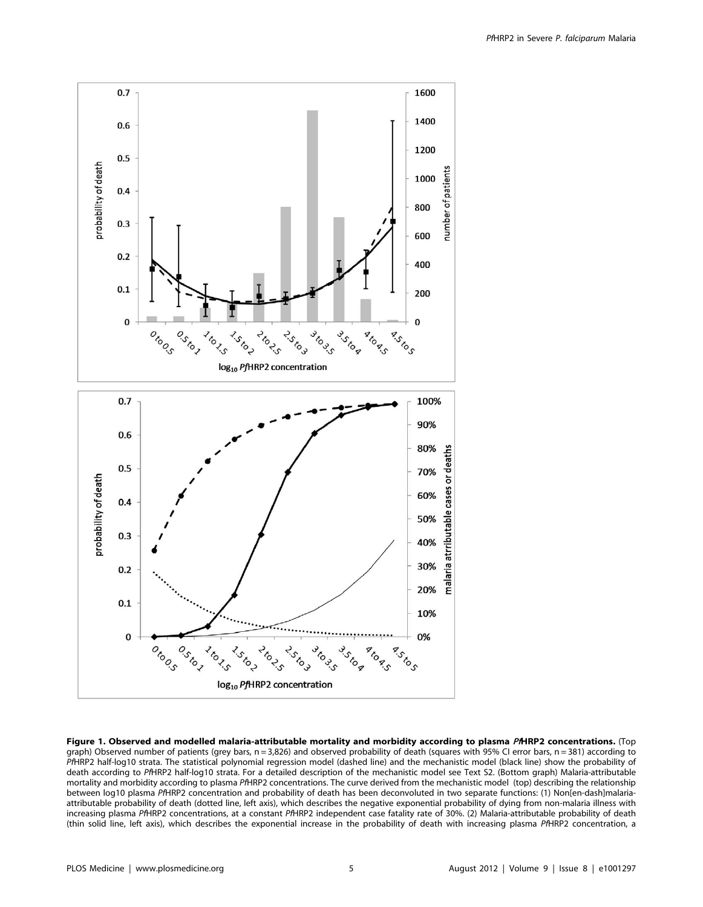

Figure 1. Observed and modelled malaria-attributable mortality and morbidity according to plasma PHRP2 concentrations. (Top graph) Observed number of patients (grey bars, n = 3,826) and observed probability of death (squares with 95% CI error bars, n = 381) according to PfHRP2 half-log10 strata. The statistical polynomial regression model (dashed line) and the mechanistic model (black line) show the probability of death according to PfHRP2 half-log10 strata. For a detailed description of the mechanistic model see Text S2. (Bottom graph) Malaria-attributable mortality and morbidity according to plasma PfHRP2 concentrations. The curve derived from the mechanistic model (top) describing the relationship between log10 plasma PfHRP2 concentration and probability of death has been deconvoluted in two separate functions: (1) Non[en-dash]malariaattributable probability of death (dotted line, left axis), which describes the negative exponential probability of dying from non-malaria illness with increasing plasma PfHRP2 concentrations, at a constant PfHRP2 independent case fatality rate of 30%. (2) Malaria-attributable probability of death (thin solid line, left axis), which describes the exponential increase in the probability of death with increasing plasma PfHRP2 concentration, a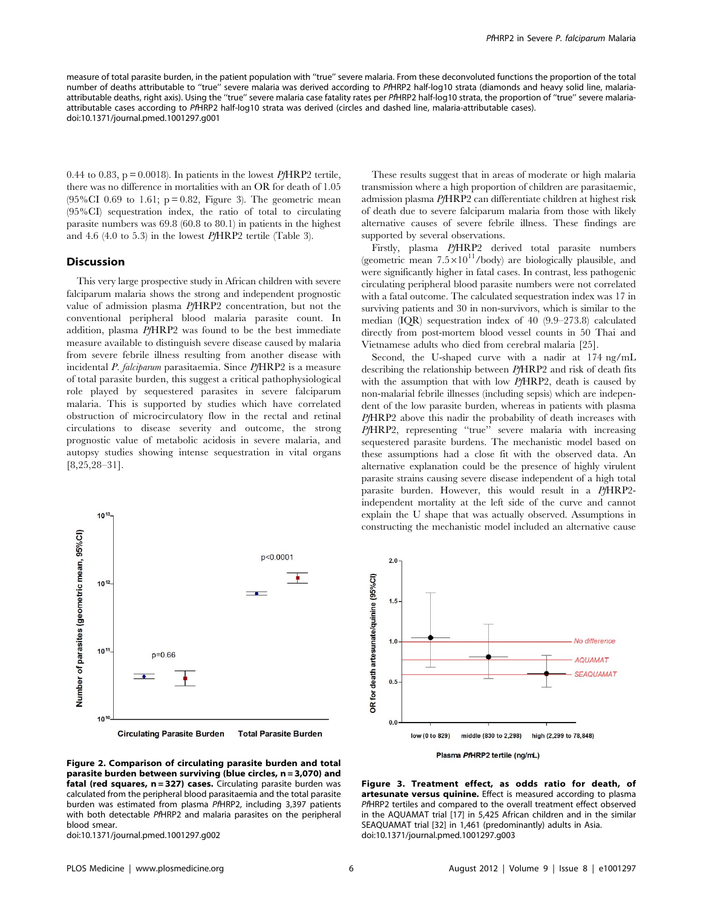measure of total parasite burden, in the patient population with ''true'' severe malaria. From these deconvoluted functions the proportion of the total number of deaths attributable to ''true'' severe malaria was derived according to PfHRP2 half-log10 strata (diamonds and heavy solid line, malariaattributable deaths, right axis). Using the ''true'' severe malaria case fatality rates per PfHRP2 half-log10 strata, the proportion of ''true'' severe malariaattributable cases according to PfHRP2 half-log10 strata was derived (circles and dashed line, malaria-attributable cases). doi:10.1371/journal.pmed.1001297.g001

0.44 to 0.83,  $p = 0.0018$ . In patients in the lowest *Pf*HRP2 tertile, there was no difference in mortalities with an OR for death of 1.05  $(95\% CI\ 0.69\ to\ 1.61; p = 0.82, Figure\ 3)$ . The geometric mean (95%CI) sequestration index, the ratio of total to circulating parasite numbers was 69.8 (60.8 to 80.1) in patients in the highest and 4.6 (4.0 to 5.3) in the lowest PfHRP2 tertile (Table 3).

#### Discussion

This very large prospective study in African children with severe falciparum malaria shows the strong and independent prognostic value of admission plasma PfHRP2 concentration, but not the conventional peripheral blood malaria parasite count. In addition, plasma PfHRP2 was found to be the best immediate measure available to distinguish severe disease caused by malaria from severe febrile illness resulting from another disease with incidental P. falciparum parasitaemia. Since PfHRP2 is a measure of total parasite burden, this suggest a critical pathophysiological role played by sequestered parasites in severe falciparum malaria. This is supported by studies which have correlated obstruction of microcirculatory flow in the rectal and retinal circulations to disease severity and outcome, the strong prognostic value of metabolic acidosis in severe malaria, and autopsy studies showing intense sequestration in vital organs [8,25,28–31].



Fiaure 2. Comparison of circulating parasite burden and total parasite burden between surviving (blue circles, n = 3,070) and fatal (red squares, n = 327) cases. Circulating parasite burden was calculated from the peripheral blood parasitaemia and the total parasite burden was estimated from plasma PfHRP2, including 3,397 patients with both detectable PfHRP2 and malaria parasites on the peripheral blood smear.

doi:10.1371/journal.pmed.1001297.g002

These results suggest that in areas of moderate or high malaria transmission where a high proportion of children are parasitaemic, admission plasma PfHRP2 can differentiate children at highest risk of death due to severe falciparum malaria from those with likely alternative causes of severe febrile illness. These findings are supported by several observations.

Firstly, plasma PfHRP2 derived total parasite numbers (geometric mean  $7.5 \times 10^{11}$ /body) are biologically plausible, and were significantly higher in fatal cases. In contrast, less pathogenic circulating peripheral blood parasite numbers were not correlated with a fatal outcome. The calculated sequestration index was 17 in surviving patients and 30 in non-survivors, which is similar to the median (IQR) sequestration index of 40 (9.9–273.8) calculated directly from post-mortem blood vessel counts in 50 Thai and Vietnamese adults who died from cerebral malaria [25].

Second, the U-shaped curve with a nadir at 174 ng/mL describing the relationship between PfHRP2 and risk of death fits with the assumption that with low PfHRP2, death is caused by non-malarial febrile illnesses (including sepsis) which are independent of the low parasite burden, whereas in patients with plasma PfHRP2 above this nadir the probability of death increases with PfHRP2, representing "true" severe malaria with increasing sequestered parasite burdens. The mechanistic model based on these assumptions had a close fit with the observed data. An alternative explanation could be the presence of highly virulent parasite strains causing severe disease independent of a high total parasite burden. However, this would result in a PfHRP2 independent mortality at the left side of the curve and cannot explain the U shape that was actually observed. Assumptions in constructing the mechanistic model included an alternative cause



Figure 3. Treatment effect, as odds ratio for death, of artesunate versus quinine. Effect is measured according to plasma PfHRP2 tertiles and compared to the overall treatment effect observed in the AQUAMAT trial [17] in 5,425 African children and in the similar SEAQUAMAT trial [32] in 1,461 (predominantly) adults in Asia. doi:10.1371/journal.pmed.1001297.g003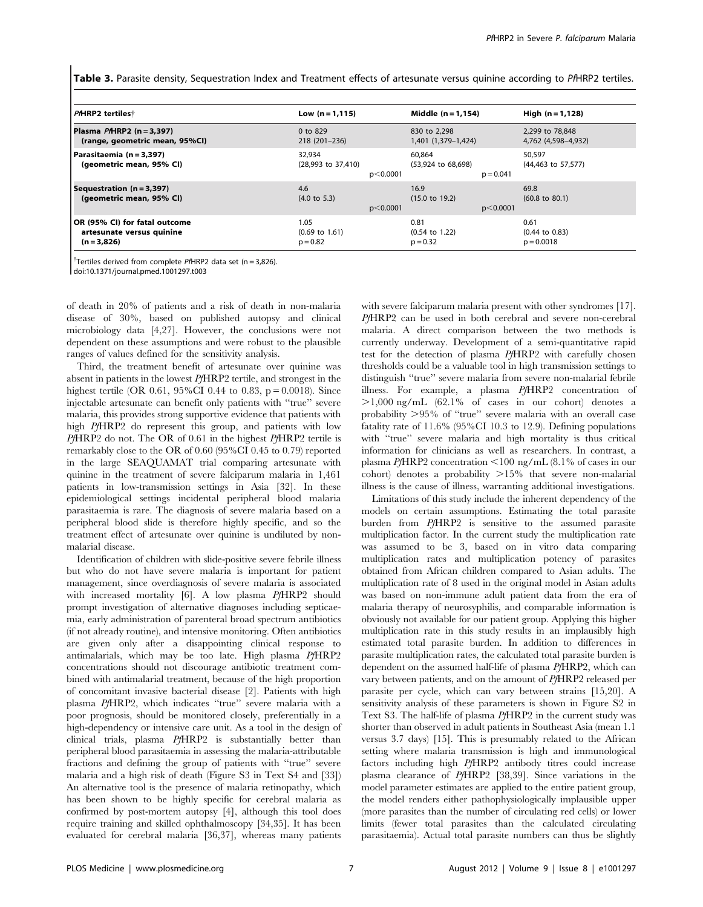Table 3. Parasite density, Sequestration Index and Treatment effects of artesunate versus quinine according to PfHRP2 tertiles.

| <b>PAHRP2</b> tertiles†                                                     | Low $(n = 1, 115)$                              |             | Middle $(n = 1, 154)$                           |             | High $(n = 1, 128)$                               |
|-----------------------------------------------------------------------------|-------------------------------------------------|-------------|-------------------------------------------------|-------------|---------------------------------------------------|
| Plasma PAHRP2 (n = 3,397)<br>(range, geometric mean, 95%CI)                 | 0 to $829$<br>218 (201-236)                     |             | 830 to 2.298<br>1,401 (1,379-1,424)             |             | 2.299 to 78.848<br>4,762 (4,598-4,932)            |
| Parasitaemia (n = 3,397)<br>(geometric mean, 95% CI)                        | 32.934<br>(28,993 to 37,410)                    | $p<$ 0.0001 | 60.864<br>(53,924 to 68,698)                    | $p = 0.041$ | 50,597<br>(44,463 to 57,577)                      |
| Sequestration $(n = 3, 397)$<br>(geometric mean, 95% CI)                    | 4.6<br>$(4.0 \text{ to } 5.3)$                  | p<0.0001    | 16.9<br>$(15.0 \text{ to } 19.2)$               | p<0.0001    | 69.8<br>$(60.8 \text{ to } 80.1)$                 |
| OR (95% CI) for fatal outcome<br>artesunate versus quinine<br>$(n = 3,826)$ | 1.05<br>$(0.69 \text{ to } 1.61)$<br>$p = 0.82$ |             | 0.81<br>$(0.54 \text{ to } 1.22)$<br>$p = 0.32$ |             | 0.61<br>$(0.44 \text{ to } 0.83)$<br>$p = 0.0018$ |

<sup>†</sup>Tertiles derived from complete PfHRP2 data set (n = 3,826).

doi:10.1371/journal.pmed.1001297.t003

of death in 20% of patients and a risk of death in non-malaria disease of 30%, based on published autopsy and clinical microbiology data [4,27]. However, the conclusions were not dependent on these assumptions and were robust to the plausible ranges of values defined for the sensitivity analysis.

Third, the treatment benefit of artesunate over quinine was absent in patients in the lowest PfHRP2 tertile, and strongest in the highest tertile (OR 0.61, 95%CI 0.44 to 0.83, p = 0.0018). Since injectable artesunate can benefit only patients with ''true'' severe malaria, this provides strong supportive evidence that patients with high PfHRP2 do represent this group, and patients with low PfHRP2 do not. The OR of 0.61 in the highest PfHRP2 tertile is remarkably close to the OR of 0.60 (95%CI 0.45 to 0.79) reported in the large SEAQUAMAT trial comparing artesunate with quinine in the treatment of severe falciparum malaria in 1,461 patients in low-transmission settings in Asia [32]. In these epidemiological settings incidental peripheral blood malaria parasitaemia is rare. The diagnosis of severe malaria based on a peripheral blood slide is therefore highly specific, and so the treatment effect of artesunate over quinine is undiluted by nonmalarial disease.

Identification of children with slide-positive severe febrile illness but who do not have severe malaria is important for patient management, since overdiagnosis of severe malaria is associated with increased mortality [6]. A low plasma PfHRP2 should prompt investigation of alternative diagnoses including septicaemia, early administration of parenteral broad spectrum antibiotics (if not already routine), and intensive monitoring. Often antibiotics are given only after a disappointing clinical response to antimalarials, which may be too late. High plasma PfHRP2 concentrations should not discourage antibiotic treatment combined with antimalarial treatment, because of the high proportion of concomitant invasive bacterial disease [2]. Patients with high plasma PfHRP2, which indicates ''true'' severe malaria with a poor prognosis, should be monitored closely, preferentially in a high-dependency or intensive care unit. As a tool in the design of clinical trials, plasma PfHRP2 is substantially better than peripheral blood parasitaemia in assessing the malaria-attributable fractions and defining the group of patients with ''true'' severe malaria and a high risk of death (Figure S3 in Text S4 and [33]) An alternative tool is the presence of malaria retinopathy, which has been shown to be highly specific for cerebral malaria as confirmed by post-mortem autopsy [4], although this tool does require training and skilled ophthalmoscopy [34,35]. It has been evaluated for cerebral malaria [36,37], whereas many patients with severe falciparum malaria present with other syndromes [17]. PfHRP2 can be used in both cerebral and severe non-cerebral malaria. A direct comparison between the two methods is currently underway. Development of a semi-quantitative rapid test for the detection of plasma PfHRP2 with carefully chosen thresholds could be a valuable tool in high transmission settings to distinguish ''true'' severe malaria from severe non-malarial febrile illness. For example, a plasma PfHRP2 concentration of  $>1,000$  ng/mL (62.1% of cases in our cohort) denotes a probability  $>95\%$  of "true" severe malaria with an overall case fatality rate of 11.6% (95%CI 10.3 to 12.9). Defining populations with "true" severe malaria and high mortality is thus critical information for clinicians as well as researchers. In contrast, a plasma  $PfHRP2$  concentration <100 ng/mL (8.1% of cases in our cohort) denotes a probability  $>15\%$  that severe non-malarial illness is the cause of illness, warranting additional investigations.

Limitations of this study include the inherent dependency of the models on certain assumptions. Estimating the total parasite burden from PfHRP2 is sensitive to the assumed parasite multiplication factor. In the current study the multiplication rate was assumed to be 3, based on in vitro data comparing multiplication rates and multiplication potency of parasites obtained from African children compared to Asian adults. The multiplication rate of 8 used in the original model in Asian adults was based on non-immune adult patient data from the era of malaria therapy of neurosyphilis, and comparable information is obviously not available for our patient group. Applying this higher multiplication rate in this study results in an implausibly high estimated total parasite burden. In addition to differences in parasite multiplication rates, the calculated total parasite burden is dependent on the assumed half-life of plasma PfHRP2, which can vary between patients, and on the amount of PfHRP2 released per parasite per cycle, which can vary between strains [15,20]. A sensitivity analysis of these parameters is shown in Figure S2 in Text S3. The half-life of plasma PfHRP2 in the current study was shorter than observed in adult patients in Southeast Asia (mean 1.1 versus 3.7 days) [15]. This is presumably related to the African setting where malaria transmission is high and immunological factors including high PfHRP2 antibody titres could increase plasma clearance of PfHRP2 [38,39]. Since variations in the model parameter estimates are applied to the entire patient group, the model renders either pathophysiologically implausible upper (more parasites than the number of circulating red cells) or lower limits (fewer total parasites than the calculated circulating parasitaemia). Actual total parasite numbers can thus be slightly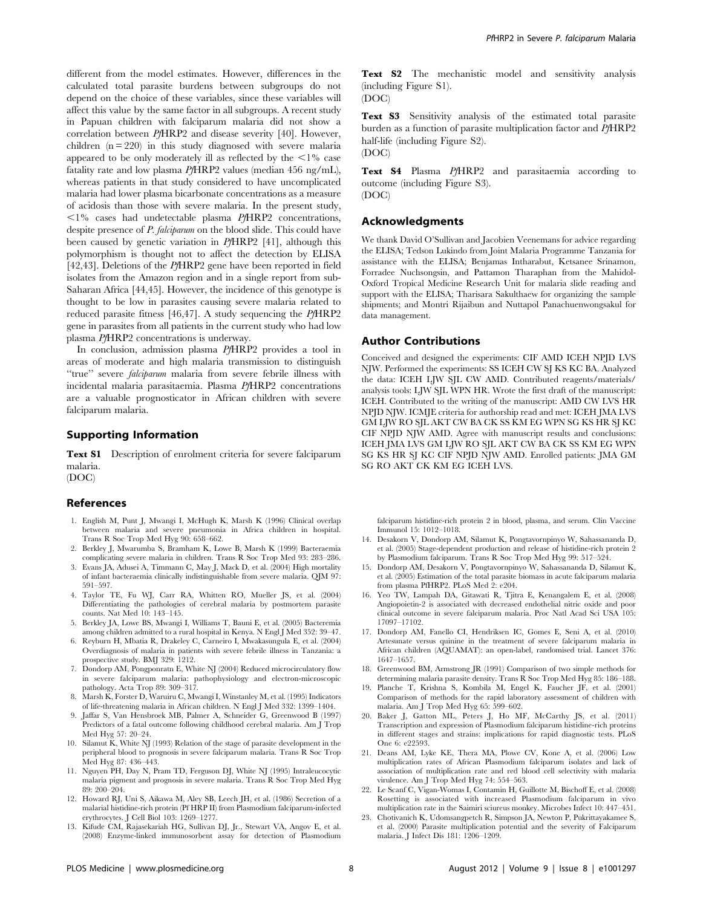different from the model estimates. However, differences in the calculated total parasite burdens between subgroups do not depend on the choice of these variables, since these variables will affect this value by the same factor in all subgroups. A recent study in Papuan children with falciparum malaria did not show a correlation between PfHRP2 and disease severity [40]. However, children  $(n = 220)$  in this study diagnosed with severe malaria appeared to be only moderately ill as reflected by the  $\leq 1\%$  case fatality rate and low plasma PfHRP2 values (median 456 ng/mL), whereas patients in that study considered to have uncomplicated malaria had lower plasma bicarbonate concentrations as a measure of acidosis than those with severe malaria. In the present study,  $\langle 1\%$  cases had undetectable plasma PfHRP2 concentrations, despite presence of P. falciparum on the blood slide. This could have been caused by genetic variation in PfHRP2 [41], although this polymorphism is thought not to affect the detection by ELISA [42,43]. Deletions of the PHRP2 gene have been reported in field isolates from the Amazon region and in a single report from sub-Saharan Africa [44,45]. However, the incidence of this genotype is thought to be low in parasites causing severe malaria related to reduced parasite fitness [46,47]. A study sequencing the PfHRP2 gene in parasites from all patients in the current study who had low plasma PfHRP2 concentrations is underway.

In conclusion, admission plasma PfHRP2 provides a tool in areas of moderate and high malaria transmission to distinguish "true" severe *falciparum* malaria from severe febrile illness with incidental malaria parasitaemia. Plasma PfHRP2 concentrations are a valuable prognosticator in African children with severe falciparum malaria.

#### Supporting Information

Text S1 Description of enrolment criteria for severe falciparum malaria.

(DOC)

#### References

- 1. English M, Punt J, Mwangi I, McHugh K, Marsh K (1996) Clinical overlap between malaria and severe pneumonia in Africa children in hospital. Trans R Soc Trop Med Hyg 90: 658–662.
- 2. Berkley J, Mwarumba S, Bramham K, Lowe B, Marsh K (1999) Bacteraemia complicating severe malaria in children. Trans R Soc Trop Med 93: 283–286.
- 3. Evans JA, Adusei A, Timmann C, May J, Mack D, et al. (2004) High mortality of infant bacteraemia clinically indistinguishable from severe malaria. QJM 97: 591–597.
- 4. Taylor TE, Fu WJ, Carr RA, Whitten RO, Mueller JS, et al. (2004) Differentiating the pathologies of cerebral malaria by postmortem parasite counts. Nat Med 10: 143–145.
- 5. Berkley JA, Lowe BS, Mwangi I, Williams T, Bauni E, et al. (2005) Bacteremia among children admitted to a rural hospital in Kenya. N Engl J Med 352: 39–47.
- 6. Reyburn H, Mbatia R, Drakeley C, Carneiro I, Mwakasungula E, et al. (2004) Overdiagnosis of malaria in patients with severe febrile illness in Tanzania: a prospective study. BMJ 329: 1212.
- 7. Dondorp AM, Pongponratn E, White NJ (2004) Reduced microcirculatory flow in severe falciparum malaria: pathophysiology and electron-microscopic pathology. Acta Trop 89: 309–317.
- 8. Marsh K, Forster D, Waruiru C, Mwangi I, Winstanley M, et al. (1995) Indicators of life-threatening malaria in African children. N Engl J Med 332: 1399–1404.
- 9. Jaffar S, Van Hensbroek MB, Palmer A, Schneider G, Greenwood B (1997) Predictors of a fatal outcome following childhood cerebral malaria. Am J Trop Med Hyg 57: 20–24.
- 10. Silamut K, White NJ (1993) Relation of the stage of parasite development in the peripheral blood to prognosis in severe falciparum malaria. Trans R Soc Trop Med Hyg 87: 436–443.
- 11. Nguyen PH, Day N, Pram TD, Ferguson DJ, White NJ (1995) Intraleucocytic malaria pigment and prognosis in severe malaria. Trans R Soc Trop Med Hyg 89: 200–204.
- 12. Howard RJ, Uni S, Aikawa M, Aley SB, Leech JH, et al. (1986) Secretion of a malarial histidine-rich protein (Pf HRP II) from Plasmodium falciparum-infected erythrocytes. J Cell Biol 103: 1269–1277.
- 13. Kifude CM, Rajasekariah HG, Sullivan DJ, Jr., Stewart VA, Angov E, et al. (2008) Enzyme-linked immunosorbent assay for detection of Plasmodium

Text S2 The mechanistic model and sensitivity analysis (including Figure S1). (DOC)

Text S3 Sensitivity analysis of the estimated total parasite burden as a function of parasite multiplication factor and PfHRP2 half-life (including Figure S2). (DOC)

Text S4 Plasma PfHRP2 and parasitaemia according to outcome (including Figure S3). (DOC)

# Acknowledgments

We thank David O'Sullivan and Jacobien Veenemans for advice regarding the ELISA; Tedson Lukindo from Joint Malaria Programme Tanzania for assistance with the ELISA; Benjamas Intharabut, Ketsanee Srinamon, Forradee Nuchsongsin, and Pattamon Tharaphan from the Mahidol-Oxford Tropical Medicine Research Unit for malaria slide reading and support with the ELISA; Tharisara Sakulthaew for organizing the sample shipments; and Montri Rijaibun and Nuttapol Panachuenwongsakul for data management.

#### Author Contributions

Conceived and designed the experiments: CIF AMD ICEH NPJD LVS NJW. Performed the experiments: SS ICEH CW SJ KS KC BA. Analyzed the data: ICEH LJW SJL CW AMD. Contributed reagents/materials/ analysis tools: LJW SJL WPN HR. Wrote the first draft of the manuscript: ICEH. Contributed to the writing of the manuscript: AMD CW LVS HR NPJD NJW. ICMJE criteria for authorship read and met: ICEH JMA LVS GM LJW RO SJL AKT CW BA CK SS KM EG WPN SG KS HR SJ KC CIF NPJD NJW AMD. Agree with manuscript results and conclusions: ICEH JMA LVS GM LJW RO SJL AKT CW BA CK SS KM EG WPN SG KS HR SJ KC CIF NPJD NJW AMD. Enrolled patients: JMA GM SG RO AKT CK KM EG ICEH LVS.

falciparum histidine-rich protein 2 in blood, plasma, and serum. Clin Vaccine Immunol 15: 1012–1018.

- 14. Desakorn V, Dondorp AM, Silamut K, Pongtavornpinyo W, Sahassananda D, et al. (2005) Stage-dependent production and release of histidine-rich protein 2 by Plasmodium falciparum. Trans R Soc Trop Med Hyg 99: 517–524.
- 15. Dondorp AM, Desakorn V, Pongtavornpinyo W, Sahassananda D, Silamut K, et al. (2005) Estimation of the total parasite biomass in acute falciparum malaria from plasma PfHRP2. PLoS Med 2: e204.
- 16. Yeo TW, Lampah DA, Gitawati R, Tjitra E, Kenangalem E, et al. (2008) Angiopoietin-2 is associated with decreased endothelial nitric oxide and poor clinical outcome in severe falciparum malaria. Proc Natl Acad Sci USA 105: 17097–17102.
- 17. Dondorp AM, Fanello CI, Hendriksen IC, Gomes E, Seni A, et al. (2010) Artesunate versus quinine in the treatment of severe falciparum malaria in African children (AQUAMAT): an open-label, randomised trial. Lancet 376: 1647–1657.
- 18. Greenwood BM, Armstrong JR (1991) Comparison of two simple methods for determining malaria parasite density. Trans R Soc Trop Med Hyg 85: 186–188.
- 19. Planche T, Krishna S, Kombila M, Engel K, Faucher JF, et al. (2001) Comparison of methods for the rapid laboratory assessment of children with malaria. Am J Trop Med Hyg 65: 599–602.
- 20. Baker J, Gatton ML, Peters J, Ho MF, McCarthy JS, et al. (2011) Transcription and expression of Plasmodium falciparum histidine-rich proteins in different stages and strains: implications for rapid diagnostic tests. PLoS One 6: e22593.
- 21. Deans AM, Lyke KE, Thera MA, Plowe CV, Kone A, et al. (2006) Low multiplication rates of African Plasmodium falciparum isolates and lack of association of multiplication rate and red blood cell selectivity with malaria virulence. Am J Trop Med Hyg 74: 554–563.
- 22. Le Scanf C, Vigan-Womas I, Contamin H, Guillotte M, Bischoff E, et al. (2008) Rosetting is associated with increased Plasmodium falciparum in vivo multiplication rate in the Saimiri sciureus monkey. Microbes Infect 10: 447–451.
- 23. Chotivanich K, Udomsangpetch R, Simpson JA, Newton P, Pukrittayakamee S, et al. (2000) Parasite multiplication potential and the severity of Falciparum malaria. J Infect Dis 181: 1206–1209.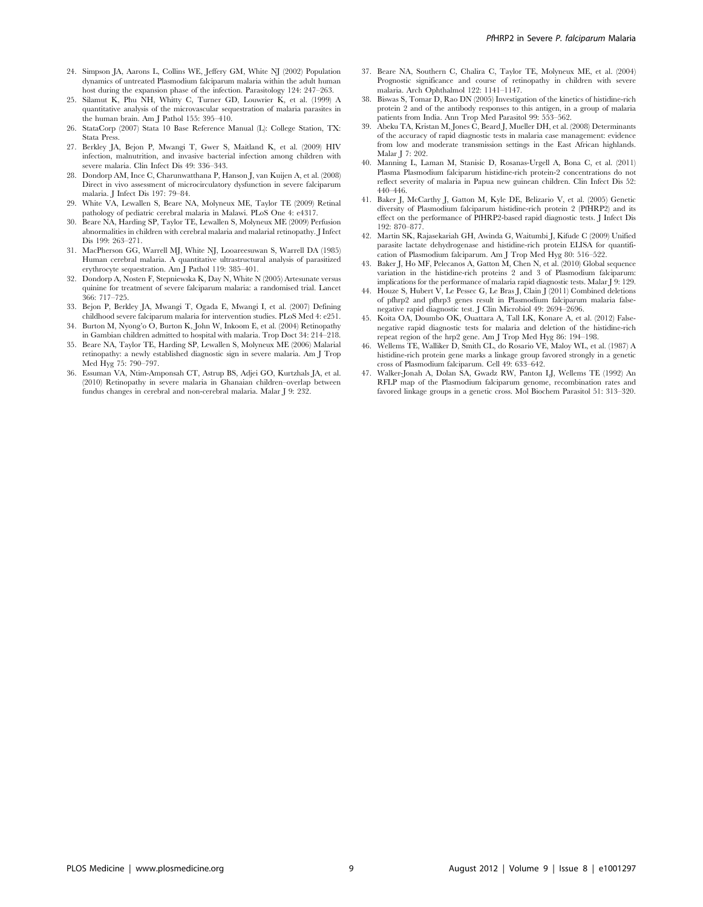- 24. Simpson JA, Aarons L, Collins WE, Jeffery GM, White NJ (2002) Population dynamics of untreated Plasmodium falciparum malaria within the adult human host during the expansion phase of the infection. Parasitology 124: 247–263.
- 25. Silamut K, Phu NH, Whitty C, Turner GD, Louwrier K, et al. (1999) A quantitative analysis of the microvascular sequestration of malaria parasites in the human brain. Am J Pathol 155: 395–410.
- 26. StataCorp (2007) Stata 10 Base Reference Manual (L): College Station, TX: Stata Press.
- 27. Berkley JA, Bejon P, Mwangi T, Gwer S, Maitland K, et al. (2009) HIV infection, malnutrition, and invasive bacterial infection among children with severe malaria. Clin Infect Dis 49: 336–343.
- 28. Dondorp AM, Ince C, Charunwatthana P, Hanson J, van Kuijen A, et al. (2008) Direct in vivo assessment of microcirculatory dysfunction in severe falciparum malaria. J Infect Dis 197: 79–84.
- 29. White VA, Lewallen S, Beare NA, Molyneux ME, Taylor TE (2009) Retinal pathology of pediatric cerebral malaria in Malawi. PLoS One 4: e4317.
- 30. Beare NA, Harding SP, Taylor TE, Lewallen S, Molyneux ME (2009) Perfusion abnormalities in children with cerebral malaria and malarial retinopathy. J Infect Dis 199: 263–271.
- 31. MacPherson GG, Warrell MJ, White NJ, Looareesuwan S, Warrell DA (1985) Human cerebral malaria. A quantitative ultrastructural analysis of parasitized erythrocyte sequestration. Am J Pathol 119: 385–401.
- 32. Dondorp A, Nosten F, Stepniewska K, Day N, White N (2005) Artesunate versus quinine for treatment of severe falciparum malaria: a randomised trial. Lancet 366: 717–725.
- 33. Bejon P, Berkley JA, Mwangi T, Ogada E, Mwangi I, et al. (2007) Defining childhood severe falciparum malaria for intervention studies. PLoS Med 4: e251.
- 34. Burton M, Nyong'o O, Burton K, John W, Inkoom E, et al. (2004) Retinopathy in Gambian children admitted to hospital with malaria. Trop Doct 34: 214–218.
- 35. Beare NA, Taylor TE, Harding SP, Lewallen S, Molyneux ME (2006) Malarial retinopathy: a newly established diagnostic sign in severe malaria. Am J Trop Med Hyg 75: 790–797.
- 36. Essuman VA, Ntim-Amponsah CT, Astrup BS, Adjei GO, Kurtzhals JA, et al. (2010) Retinopathy in severe malaria in Ghanaian children–overlap between fundus changes in cerebral and non-cerebral malaria. Malar J 9: 232.
- 37. Beare NA, Southern C, Chalira C, Taylor TE, Molyneux ME, et al. (2004) Prognostic significance and course of retinopathy in children with severe malaria. Arch Ophthalmol 122: 1141–1147.
- 38. Biswas S, Tomar D, Rao DN (2005) Investigation of the kinetics of histidine-rich protein 2 and of the antibody responses to this antigen, in a group of malaria patients from India. Ann Trop Med Parasitol 99: 553–562.
- 39. Abeku TA, Kristan M, Jones C, Beard J, Mueller DH, et al. (2008) Determinants of the accuracy of rapid diagnostic tests in malaria case management: evidence from low and moderate transmission settings in the East African highlands. Malar J 7: 202.
- 40. Manning L, Laman M, Stanisic D, Rosanas-Urgell A, Bona C, et al. (2011) Plasma Plasmodium falciparum histidine-rich protein-2 concentrations do not reflect severity of malaria in Papua new guinean children. Clin Infect Dis 52: 440–446.
- 41. Baker J, McCarthy J, Gatton M, Kyle DE, Belizario V, et al. (2005) Genetic diversity of Plasmodium falciparum histidine-rich protein 2 (PfHRP2) and its effect on the performance of PfHRP2-based rapid diagnostic tests. J Infect Dis 192: 870–877.
- 42. Martin SK, Rajasekariah GH, Awinda G, Waitumbi J, Kifude C (2009) Unified parasite lactate dehydrogenase and histidine-rich protein ELISA for quantification of Plasmodium falciparum. Am J Trop Med Hyg 80: 516–522.
- 43. Baker J, Ho MF, Pelecanos A, Gatton M, Chen N, et al. (2010) Global sequence variation in the histidine-rich proteins 2 and 3 of Plasmodium falciparum: implications for the performance of malaria rapid diagnostic tests. Malar J 9: 129.
- 44. Houze S, Hubert V, Le Pessec G, Le Bras J, Clain J (2011) Combined deletions of pfhrp2 and pfhrp3 genes result in Plasmodium falciparum malaria falsenegative rapid diagnostic test. J Clin Microbiol 49: 2694–2696.
- 45. Koita OA, Doumbo OK, Ouattara A, Tall LK, Konare A, et al. (2012) Falsenegative rapid diagnostic tests for malaria and deletion of the histidine-rich repeat region of the hrp2 gene. Am J Trop Med Hyg 86: 194–198.
- 46. Wellems TE, Walliker D, Smith CL, do Rosario VE, Maloy WL, et al. (1987) A histidine-rich protein gene marks a linkage group favored strongly in a genetic cross of Plasmodium falciparum. Cell 49: 633–642.
- 47. Walker-Jonah A, Dolan SA, Gwadz RW, Panton LJ, Wellems TE (1992) An RFLP map of the Plasmodium falciparum genome, recombination rates and favored linkage groups in a genetic cross. Mol Biochem Parasitol 51: 313–320.